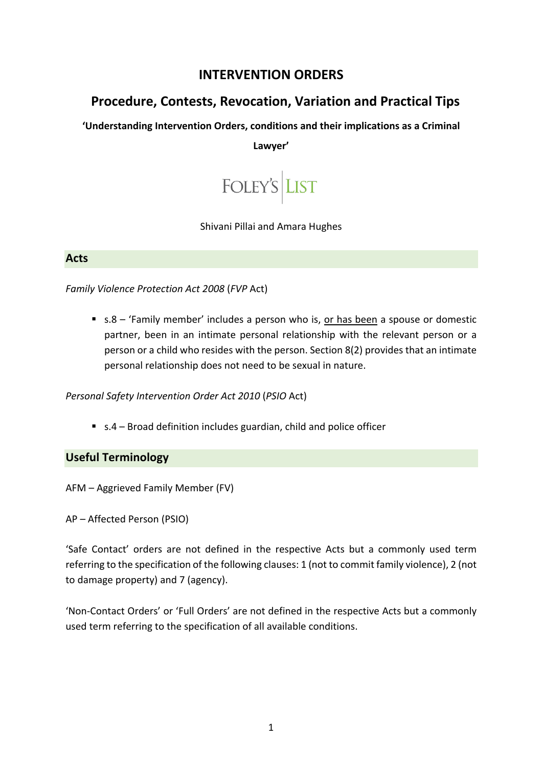# **INTERVENTION ORDERS**

# **Procedure, Contests, Revocation, Variation and Practical Tips**

**'Understanding Intervention Orders, conditions and their implications as a Criminal** 

#### **Lawyer'**



#### Shivani Pillai and Amara Hughes

#### **Acts**

*Family Violence Protection Act 2008* (*FVP* Act)

■ s.8 – 'Family member' includes a person who is, or has been a spouse or domestic partner, been in an intimate personal relationship with the relevant person or a person or a child who resides with the person. Section 8(2) provides that an intimate personal relationship does not need to be sexual in nature.

*Personal Safety Intervention Order Act 2010* (*PSIO* Act)

■ s.4 – Broad definition includes guardian, child and police officer

## **Useful Terminology**

AFM – Aggrieved Family Member (FV)

AP – Affected Person (PSIO)

'Safe Contact' orders are not defined in the respective Acts but a commonly used term referring to the specification of the following clauses: 1 (not to commit family violence), 2 (not to damage property) and 7 (agency).

'Non-Contact Orders' or 'Full Orders' are not defined in the respective Acts but a commonly used term referring to the specification of all available conditions.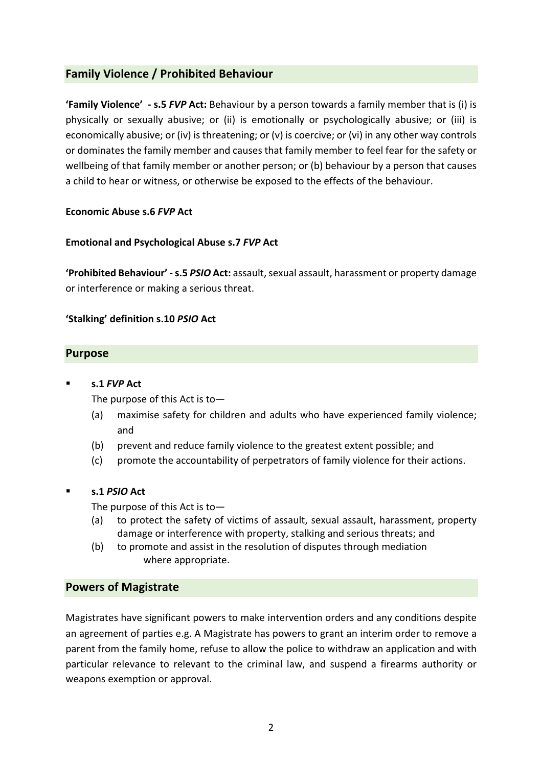# **Family Violence / Prohibited Behaviour**

**'Family Violence' - s.5** *FVP* **Act:** Behaviour by a person towards a family member that is (i) is physically or sexually abusive; or (ii) is emotionally or psychologically abusive; or (iii) is economically abusive; or (iv) is threatening; or (v) is coercive; or (vi) in any other way controls or dominates the family member and causes that family member to feel fear for the safety or wellbeing of that family member or another person; or (b) behaviour by a person that causes a child to hear or witness, or otherwise be exposed to the effects of the behaviour.

#### **Economic Abuse s.6** *FVP* **Act**

#### **Emotional and Psychological Abuse s.7** *FVP* **Act**

**'Prohibited Behaviour' -s.5** *PSIO* **Act:** assault, sexual assault, harassment or property damage or interference or making a serious threat.

#### **'Stalking' definition s.10** *PSIO* **Act**

## **Purpose**

#### § **s.1** *FVP* **Act**

The purpose of this Act is to—

- (a) maximise safety for children and adults who have experienced family violence; and
- (b) prevent and reduce family violence to the greatest extent possible; and
- (c) promote the accountability of perpetrators of family violence for their actions.

## § **s.1** *PSIO* **Act**

The purpose of this Act is to—

- (a) to protect the safety of victims of assault, sexual assault, harassment, property damage or interference with property, stalking and serious threats; and
- (b) to promote and assist in the resolution of disputes through mediation where appropriate.

## **Powers of Magistrate**

Magistrates have significant powers to make intervention orders and any conditions despite an agreement of parties e.g. A Magistrate has powers to grant an interim order to remove a parent from the family home, refuse to allow the police to withdraw an application and with particular relevance to relevant to the criminal law, and suspend a firearms authority or weapons exemption or approval.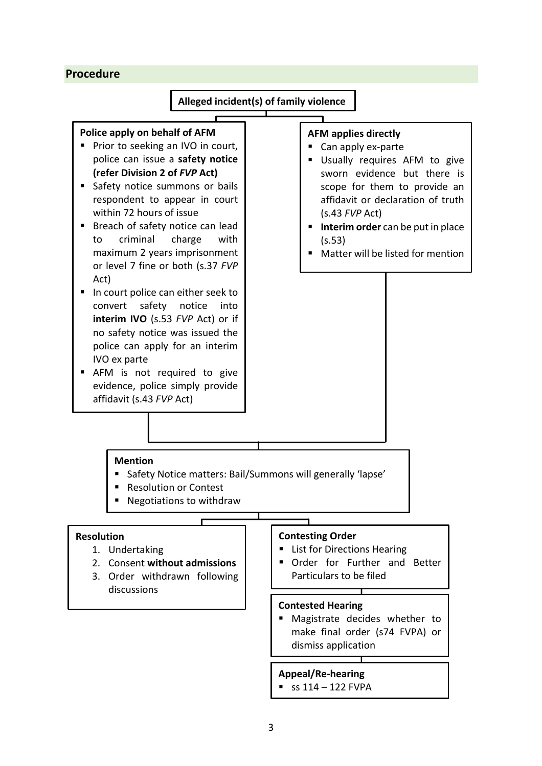## **Procedure**

## **Alleged incident(s) of family violence**

## **Police apply on behalf of AFM**

- Prior to seeking an IVO in court, police can issue a **safety notice (refer Division 2 of** *FVP* **Act)**
- Safety notice summons or bails respondent to appear in court within 72 hours of issue
- Breach of safety notice can lead to criminal charge with maximum 2 years imprisonment or level 7 fine or both (s.37 *FVP*  Act)
- In court police can either seek to convert safety notice into **interim IVO** (s.53 *FVP* Act) or if no safety notice was issued the police can apply for an interim IVO ex parte
- AFM is not required to give evidence, police simply provide affidavit (s.43 *FVP* Act)

#### **AFM applies directly**

- Can apply ex-parte
- Usually requires AFM to give sworn evidence but there is scope for them to provide an affidavit or declaration of truth (s.43 *FVP* Act)
- **Interim order** can be put in place (s.53)
- Matter will be listed for mention

#### **Mention**

- Safety Notice matters: Bail/Summons will generally 'lapse'
- Resolution or Contest
- Negotiations to withdraw

#### **Resolution**

- 1. Undertaking
- 2. Consent **without admissions**
- 3. Order withdrawn following discussions

#### **Contesting Order**

- List for Directions Hearing
- Order for Further and Better Particulars to be filed

#### **Contested Hearing**

■ Magistrate decides whether to make final order (s74 FVPA) or dismiss application

#### **Appeal/Re-hearing**

 $\approx$  ss 114 – 122 FVPA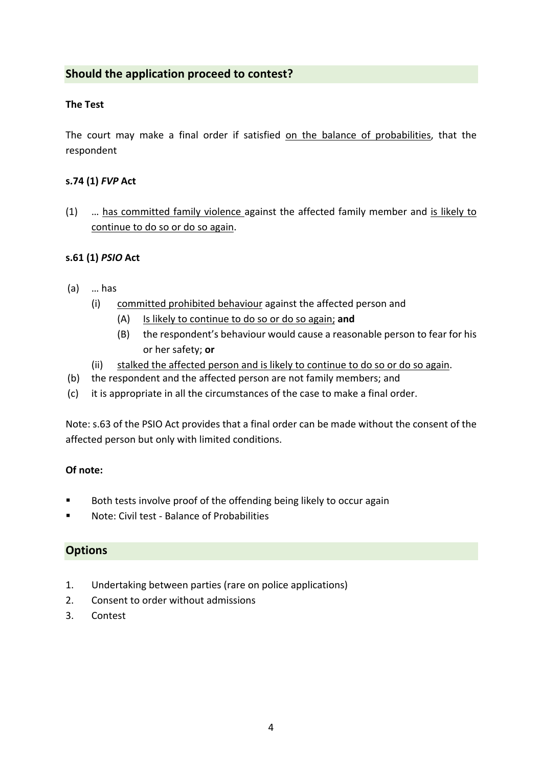# **Should the application proceed to contest?**

## **The Test**

The court may make a final order if satisfied on the balance of probabilities, that the respondent

## **s.74 (1)** *FVP* **Act**

(1) … has committed family violence against the affected family member and is likely to continue to do so or do so again.

## **s.61 (1)** *PSIO* **Act**

- (a) … has
	- (i) committed prohibited behaviour against the affected person and
		- (A) Is likely to continue to do so or do so again; **and**
		- (B) the respondent's behaviour would cause a reasonable person to fear for his or her safety; **or**
	- (ii) stalked the affected person and is likely to continue to do so or do so again.
- (b) the respondent and the affected person are not family members; and
- (c) it is appropriate in all the circumstances of the case to make a final order.

Note: s.63 of the PSIO Act provides that a final order can be made without the consent of the affected person but only with limited conditions.

## **Of note:**

- Both tests involve proof of the offending being likely to occur again
- § Note: Civil test Balance of Probabilities

## **Options**

- 1. Undertaking between parties (rare on police applications)
- 2. Consent to order without admissions
- 3. Contest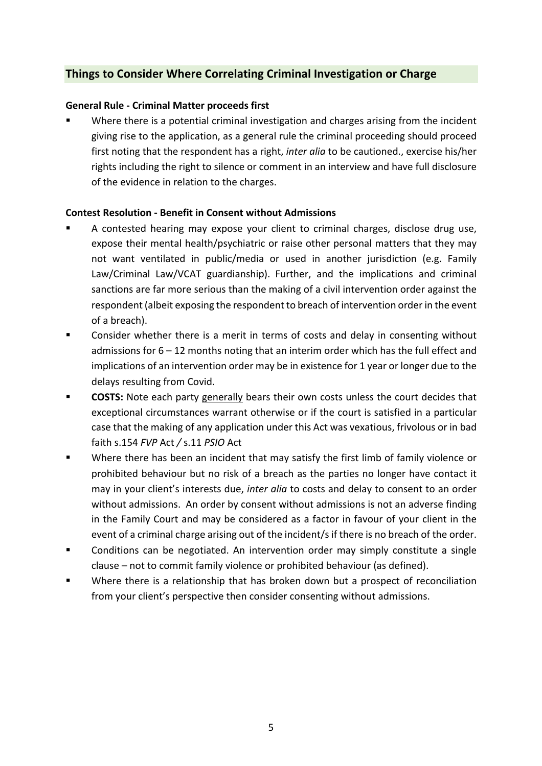# **Things to Consider Where Correlating Criminal Investigation or Charge**

#### **General Rule - Criminal Matter proceeds first**

Where there is a potential criminal investigation and charges arising from the incident giving rise to the application, as a general rule the criminal proceeding should proceed first noting that the respondent has a right, *inter alia* to be cautioned., exercise his/her rights including the right to silence or comment in an interview and have full disclosure of the evidence in relation to the charges.

#### **Contest Resolution - Benefit in Consent without Admissions**

- § A contested hearing may expose your client to criminal charges, disclose drug use, expose their mental health/psychiatric or raise other personal matters that they may not want ventilated in public/media or used in another jurisdiction (e.g. Family Law/Criminal Law/VCAT guardianship). Further, and the implications and criminal sanctions are far more serious than the making of a civil intervention order against the respondent (albeit exposing the respondent to breach of intervention order in the event of a breach).
- Consider whether there is a merit in terms of costs and delay in consenting without admissions for  $6 - 12$  months noting that an interim order which has the full effect and implications of an intervention order may be in existence for 1 year or longer due to the delays resulting from Covid.
- **EXPOSTS:** Note each party generally bears their own costs unless the court decides that exceptional circumstances warrant otherwise or if the court is satisfied in a particular case that the making of any application under this Act was vexatious, frivolous or in bad faith s.154 *FVP* Act */* s.11 *PSIO* Act
- § Where there has been an incident that may satisfy the first limb of family violence or prohibited behaviour but no risk of a breach as the parties no longer have contact it may in your client's interests due, *inter alia* to costs and delay to consent to an order without admissions. An order by consent without admissions is not an adverse finding in the Family Court and may be considered as a factor in favour of your client in the event of a criminal charge arising out of the incident/s if there is no breach of the order.
- § Conditions can be negotiated. An intervention order may simply constitute a single clause – not to commit family violence or prohibited behaviour (as defined).
- Where there is a relationship that has broken down but a prospect of reconciliation from your client's perspective then consider consenting without admissions.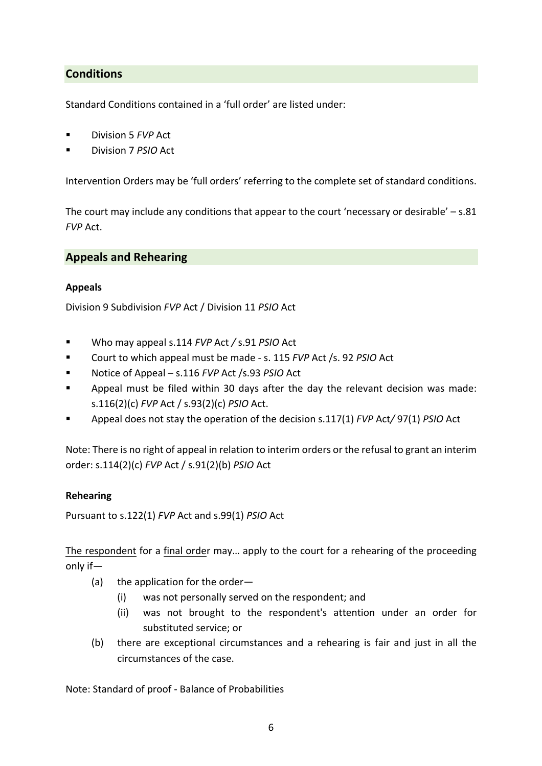# **Conditions**

Standard Conditions contained in a 'full order' are listed under:

- § Division 5 *FVP* Act
- § Division 7 *PSIO* Act

Intervention Orders may be 'full orders' referring to the complete set of standard conditions.

The court may include any conditions that appear to the court 'necessary or desirable'  $- s.81$ *FVP* Act.

#### **Appeals and Rehearing**

#### **Appeals**

Division 9 Subdivision *FVP* Act / Division 11 *PSIO* Act

- § Who may appeal s.114 *FVP* Act */* s.91 *PSIO* Act
- § Court to which appeal must be made s. 115 *FVP* Act /s. 92 *PSIO* Act
- § Notice of Appeal s.116 *FVP* Act /s.93 *PSIO* Act
- Appeal must be filed within 30 days after the day the relevant decision was made: s.116(2)(c) *FVP* Act / s.93(2)(c) *PSIO* Act.
- § Appeal does not stay the operation of the decision s.117(1) *FVP* Act*/* 97(1) *PSIO* Act

Note: There is no right of appeal in relation to interim orders or the refusal to grant an interim order: s.114(2)(c) *FVP* Act / s.91(2)(b) *PSIO* Act

#### **Rehearing**

Pursuant to s.122(1) *FVP* Act and s.99(1) *PSIO* Act

The respondent for a final order may… apply to the court for a rehearing of the proceeding only if—

- (a) the application for the order—
	- (i) was not personally served on the respondent; and
	- (ii) was not brought to the respondent's attention under an order for substituted service; or
- (b) there are exceptional circumstances and a rehearing is fair and just in all the circumstances of the case.

Note: Standard of proof - Balance of Probabilities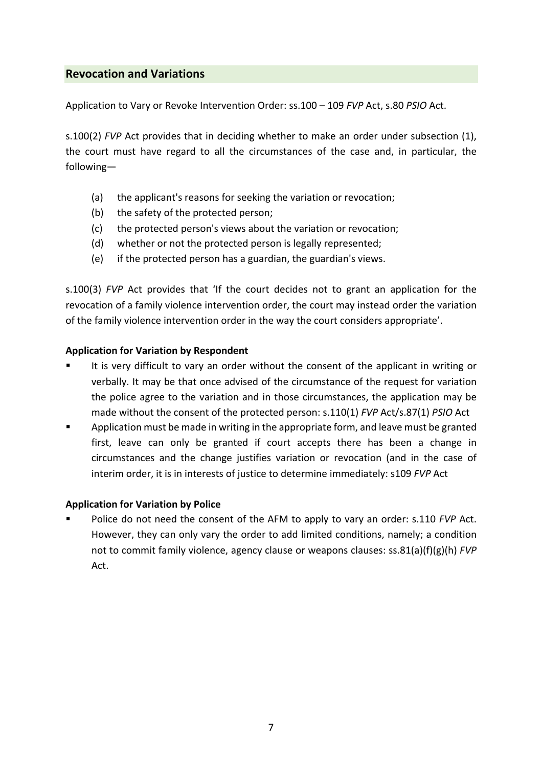# **Revocation and Variations**

Application to Vary or Revoke Intervention Order: ss.100 – 109 *FVP* Act, s.80 *PSIO* Act.

s.100(2) *FVP* Act provides that in deciding whether to make an order under subsection (1), the court must have regard to all the circumstances of the case and, in particular, the following—

- (a) the applicant's reasons for seeking the variation or revocation;
- (b) the safety of the protected person;
- (c) the protected person's views about the variation or revocation;
- (d) whether or not the protected person is legally represented;
- (e) if the protected person has a guardian, the guardian's views.

s.100(3) *FVP* Act provides that 'If the court decides not to grant an application for the revocation of a family violence intervention order, the court may instead order the variation of the family violence intervention order in the way the court considers appropriate'.

## **Application for Variation by Respondent**

- It is very difficult to vary an order without the consent of the applicant in writing or verbally. It may be that once advised of the circumstance of the request for variation the police agree to the variation and in those circumstances, the application may be made without the consent of the protected person: s.110(1) *FVP* Act/s.87(1) *PSIO* Act
- Application must be made in writing in the appropriate form, and leave must be granted first, leave can only be granted if court accepts there has been a change in circumstances and the change justifies variation or revocation (and in the case of interim order, it is in interests of justice to determine immediately: s109 *FVP* Act

## **Application for Variation by Police**

§ Police do not need the consent of the AFM to apply to vary an order: s.110 *FVP* Act. However, they can only vary the order to add limited conditions, namely; a condition not to commit family violence, agency clause or weapons clauses: ss.81(a)(f)(g)(h) *FVP*  Act.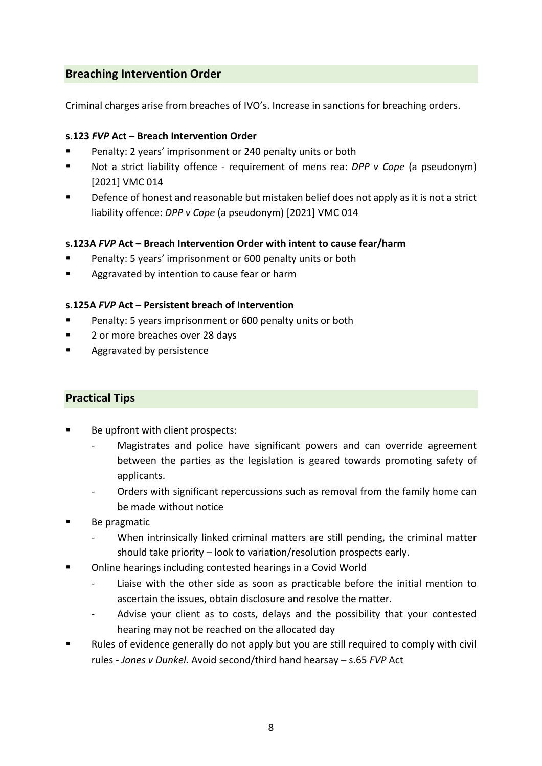# **Breaching Intervention Order**

Criminal charges arise from breaches of IVO's. Increase in sanctions for breaching orders.

## **s.123** *FVP* **Act – Breach Intervention Order**

- Penalty: 2 years' imprisonment or 240 penalty units or both
- Not a strict liability offence requirement of mens rea: *DPP v Cope* (a pseudonym) [2021] VMC 014
- Defence of honest and reasonable but mistaken belief does not apply as it is not a strict liability offence: *DPP v Cope* (a pseudonym) [2021] VMC 014

## **s.123A** *FVP* **Act – Breach Intervention Order with intent to cause fear/harm**

- Penalty: 5 years' imprisonment or 600 penalty units or both
- Aggravated by intention to cause fear or harm

## **s.125A** *FVP* **Act – Persistent breach of Intervention**

- Penalty: 5 years imprisonment or 600 penalty units or both
- 2 or more breaches over 28 days
- § Aggravated by persistence

## **Practical Tips**

- Be upfront with client prospects:
	- Magistrates and police have significant powers and can override agreement between the parties as the legislation is geared towards promoting safety of applicants.
	- Orders with significant repercussions such as removal from the family home can be made without notice
- § Be pragmatic
	- When intrinsically linked criminal matters are still pending, the criminal matter should take priority – look to variation/resolution prospects early.
- § Online hearings including contested hearings in a Covid World
	- Liaise with the other side as soon as practicable before the initial mention to ascertain the issues, obtain disclosure and resolve the matter.
	- Advise your client as to costs, delays and the possibility that your contested hearing may not be reached on the allocated day
- Rules of evidence generally do not apply but you are still required to comply with civil rules - *Jones v Dunkel.* Avoid second/third hand hearsay – s.65 *FVP* Act